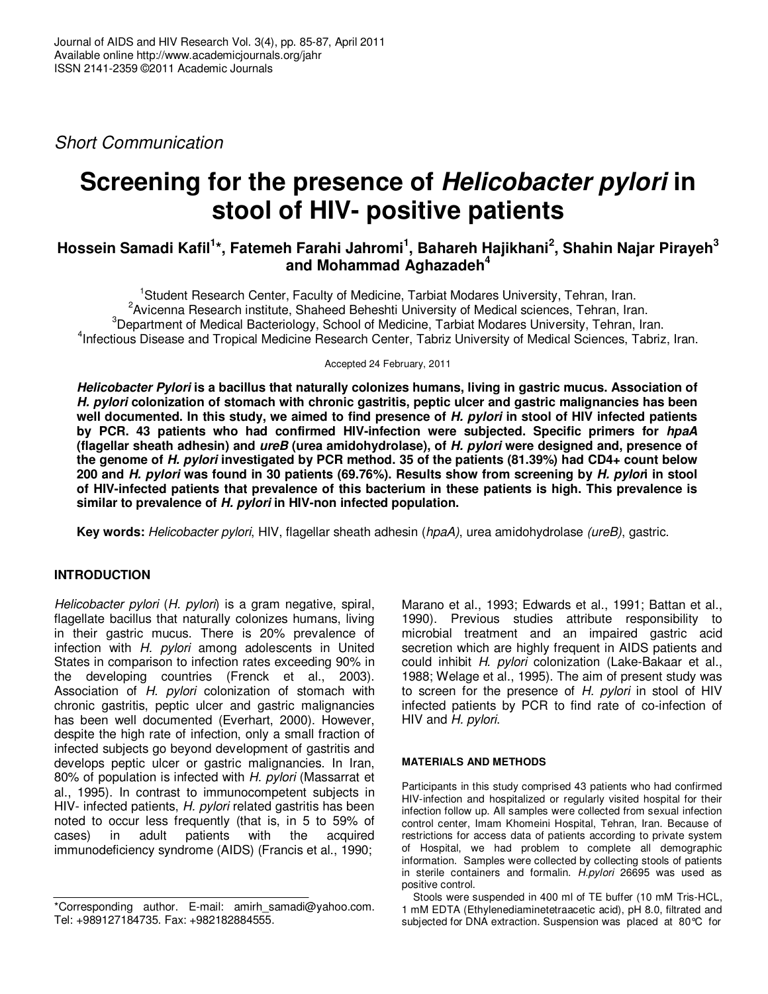Short Communication

# **Screening for the presence of Helicobacter pylori in stool of HIV- positive patients**

## **Hossein Samadi Kafil<sup>1</sup> \*, Fatemeh Farahi Jahromi<sup>1</sup> , Bahareh Hajikhani<sup>2</sup> , Shahin Najar Pirayeh<sup>3</sup> and Mohammad Aghazadeh<sup>4</sup>**

Student Research Center, Faculty of Medicine, Tarbiat Modares University, Tehran, Iran. Avicenna Research institute, Shaheed Beheshti University of Medical sciences, Tehran, Iran. <sup>3</sup>Department of Medical Bacteriology, School of Medicine, Tarbiat Modares University, Tehran, Iran. Infectious Disease and Tropical Medicine Research Center, Tabriz University of Medical Sciences, Tabriz, Iran.

Accepted 24 February, 2011

**Helicobacter Pylori is a bacillus that naturally colonizes humans, living in gastric mucus. Association of H. pylori colonization of stomach with chronic gastritis, peptic ulcer and gastric malignancies has been well documented. In this study, we aimed to find presence of H. pylori in stool of HIV infected patients by PCR. 43 patients who had confirmed HIV-infection were subjected. Specific primers for hpaA (flagellar sheath adhesin) and ureB (urea amidohydrolase), of H. pylori were designed and, presence of the genome of H. pylori investigated by PCR method. 35 of the patients (81.39%) had CD4+ count below 200 and H. pylori was found in 30 patients (69.76%). Results show from screening by H. pylori in stool of HIV-infected patients that prevalence of this bacterium in these patients is high. This prevalence is similar to prevalence of H. pylori in HIV-non infected population.** 

**Key words:** Helicobacter pylori, HIV, flagellar sheath adhesin (hpaA), urea amidohydrolase (ureB), gastric.

## **INTRODUCTION**

Helicobacter pylori (H. pylori) is a gram negative, spiral, flagellate bacillus that naturally colonizes humans, living in their gastric mucus. There is 20% prevalence of infection with H. pylori among adolescents in United States in comparison to infection rates exceeding 90% in the developing countries (Frenck et al., 2003). Association of H. pylori colonization of stomach with chronic gastritis, peptic ulcer and gastric malignancies has been well documented (Everhart, 2000). However, despite the high rate of infection, only a small fraction of infected subjects go beyond development of gastritis and develops peptic ulcer or gastric malignancies. In Iran, 80% of population is infected with H. pylori (Massarrat et al., 1995). In contrast to immunocompetent subjects in HIV- infected patients, H. pylori related gastritis has been noted to occur less frequently (that is, in 5 to 59% of cases) in adult patients with the acquired immunodeficiency syndrome (AIDS) (Francis et al., 1990;

Marano et al., 1993; Edwards et al., 1991; Battan et al., 1990). Previous studies attribute responsibility to microbial treatment and an impaired gastric acid secretion which are highly frequent in AIDS patients and could inhibit H. pylori colonization (Lake-Bakaar et al., 1988; Welage et al., 1995). The aim of present study was to screen for the presence of H. pylori in stool of HIV infected patients by PCR to find rate of co-infection of HIV and H. pylori.

### **MATERIALS AND METHODS**

Participants in this study comprised 43 patients who had confirmed HIV-infection and hospitalized or regularly visited hospital for their infection follow up. All samples were collected from sexual infection control center, Imam Khomeini Hospital, Tehran, Iran. Because of restrictions for access data of patients according to private system of Hospital, we had problem to complete all demographic information. Samples were collected by collecting stools of patients in sterile containers and formalin. H.pylori 26695 was used as positive control.

Stools were suspended in 400 ml of TE buffer (10 mM Tris-HCL, 1 mM EDTA (Ethylenediaminetetraacetic acid), pH 8.0, filtrated and subjected for DNA extraction. Suspension was placed at 80°C for

<sup>\*</sup>Corresponding author. E-mail: amirh\_samadi@yahoo.com. Tel: +989127184735. Fax: +982182884555.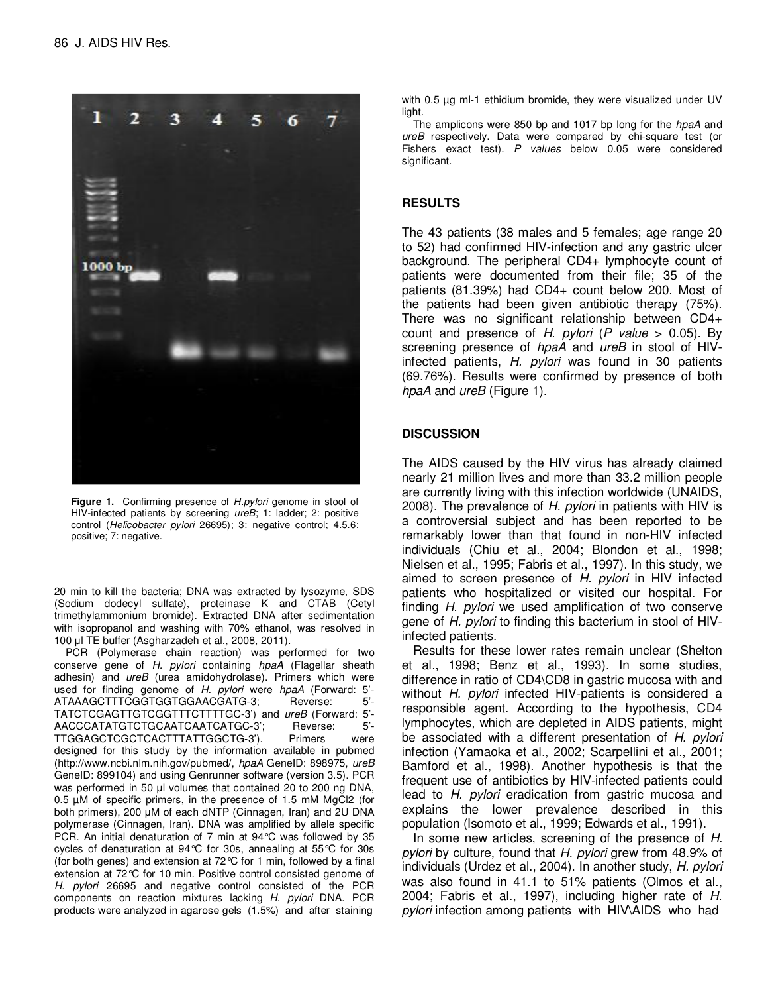

Figure 1. Confirming presence of H.pylori genome in stool of HIV-infected patients by screening *ureB*; 1: ladder; 2: positive control (Helicobacter pylori 26695); 3: negative control; 4.5.6: positive; 7: negative.

20 min to kill the bacteria; DNA was extracted by lysozyme, SDS (Sodium dodecyl sulfate), proteinase K and CTAB (Cetyl trimethylammonium bromide). Extracted DNA after sedimentation with isopropanol and washing with 70% ethanol, was resolved in 100 µl TE buffer (Asgharzadeh et al., 2008, 2011).

PCR (Polymerase chain reaction) was performed for two conserve gene of H. pylori containing hpaA (Flagellar sheath adhesin) and ureB (urea amidohydrolase). Primers which were used for finding genome of H. pylori were hpaA (Forward: 5'-<br>ATAAAGCTTTCGGTGGTGGAACGATG-3: Reverse: 5'-ATAAAGCTTTCGGTGGTGGAACGATG-3; TATCTCGAGTTGTCGGTTTCTTTTGC-3') and ureB (Forward: 5'- AACCCATATGTCTGCAATCAATCATGC-3'; Reverse: 5'- TTGGAGCTCGCTCACTTTATTGGCTG-3'). Primers were designed for this study by the information available in pubmed (http://www.ncbi.nlm.nih.gov/pubmed/, hpaA GeneID: 898975, ureB GeneID: 899104) and using Genrunner software (version 3.5). PCR was performed in 50 µl volumes that contained 20 to 200 ng DNA, 0.5 µM of specific primers, in the presence of 1.5 mM MgCl2 (for both primers), 200 µM of each dNTP (Cinnagen, Iran) and 2U DNA polymerase (Cinnagen, Iran). DNA was amplified by allele specific PCR. An initial denaturation of 7 min at 94°C was followed by 35 cycles of denaturation at 94°C for 30s, annealing at 55°C for 30s (for both genes) and extension at 72°C for 1 min, followed by a final extension at 72°C for 10 min. Positive control consisted genome of H. pylori 26695 and negative control consisted of the PCR components on reaction mixtures lacking H. pylori DNA. PCR products were analyzed in agarose gels (1.5%) and after staining

with 0.5 ug ml-1 ethidium bromide, they were visualized under UV light.

The amplicons were 850 bp and 1017 bp long for the hpaA and ureB respectively. Data were compared by chi-square test (or Fishers exact test). P values below 0.05 were considered significant.

### **RESULTS**

The 43 patients (38 males and 5 females; age range 20 to 52) had confirmed HIV-infection and any gastric ulcer background. The peripheral CD4+ lymphocyte count of patients were documented from their file; 35 of the patients (81.39%) had CD4+ count below 200. Most of the patients had been given antibiotic therapy (75%). There was no significant relationship between CD4+ count and presence of H. pylori (P value  $> 0.05$ ). By screening presence of hpaA and ureB in stool of HIVinfected patients, H. pylori was found in 30 patients (69.76%). Results were confirmed by presence of both hpaA and *ureB* (Figure 1).

#### **DISCUSSION**

The AIDS caused by the HIV virus has already claimed nearly 21 million lives and more than 33.2 million people are currently living with this infection worldwide (UNAIDS, 2008). The prevalence of H. *pylori* in patients with HIV is a controversial subject and has been reported to be remarkably lower than that found in non-HIV infected individuals (Chiu et al., 2004; Blondon et al., 1998; Nielsen et al., 1995; Fabris et al., 1997). In this study, we aimed to screen presence of H. pylori in HIV infected patients who hospitalized or visited our hospital. For finding H. pylori we used amplification of two conserve gene of H. pylori to finding this bacterium in stool of HIVinfected patients.

Results for these lower rates remain unclear (Shelton et al., 1998; Benz et al., 1993). In some studies, difference in ratio of CD4\CD8 in gastric mucosa with and without H. pylori infected HIV-patients is considered a responsible agent. According to the hypothesis, CD4 lymphocytes, which are depleted in AIDS patients, might be associated with a different presentation of H. pylori infection (Yamaoka et al., 2002; Scarpellini et al., 2001; Bamford et al., 1998). Another hypothesis is that the frequent use of antibiotics by HIV-infected patients could lead to H. pylori eradication from gastric mucosa and explains the lower prevalence described in this population (Isomoto et al., 1999; Edwards et al., 1991).

In some new articles, screening of the presence of H. pylori by culture, found that H. pylori grew from 48.9% of individuals (Urdez et al., 2004). In another study, H. pylori was also found in 41.1 to 51% patients (Olmos et al., 2004; Fabris et al., 1997), including higher rate of H. pylori infection among patients with HIV\AIDS who had